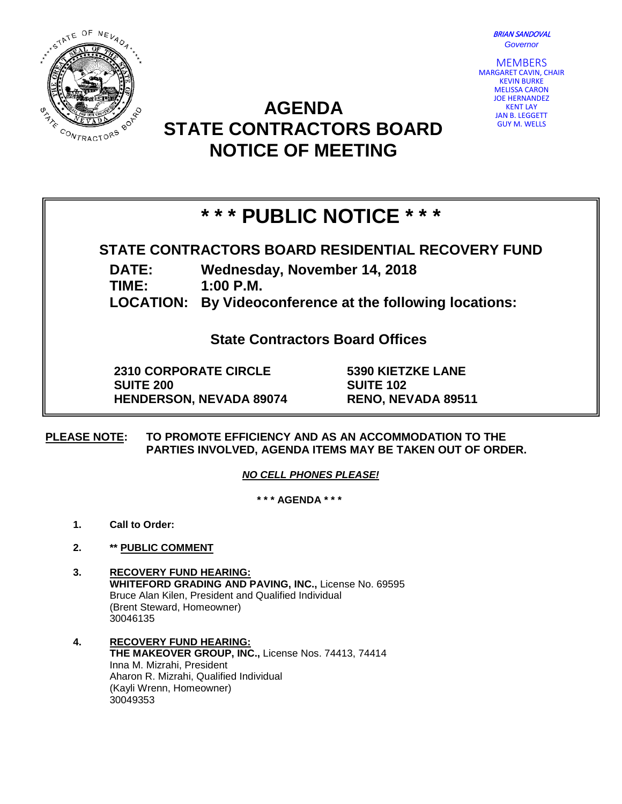BRIAN SANDOVAL *Governor*



# GUY M. WELLS **STATE CONTRACTORS BOARD NOTICE OF MEETING**



## **\* \* \* PUBLIC NOTICE \* \* \***

**AGENDA** 

### **STATE CONTRACTORS BOARD RESIDENTIAL RECOVERY FUND**

**DATE: Wednesday, November 14, 2018**

**TIME: 1:00 P.M.**

**LOCATION: By Videoconference at the following locations:**

**State Contractors Board Offices**

**2310 CORPORATE CIRCLE SUITE 200 HENDERSON, NEVADA 89074** **5390 KIETZKE LANE SUITE 102 RENO, NEVADA 89511**

**PLEASE NOTE: TO PROMOTE EFFICIENCY AND AS AN ACCOMMODATION TO THE PARTIES INVOLVED, AGENDA ITEMS MAY BE TAKEN OUT OF ORDER.**

*NO CELL PHONES PLEASE!* 

**\* \* \* AGENDA \* \* \***

- **1. Call to Order:**
- **2. \*\* PUBLIC COMMENT**
- **3. RECOVERY FUND HEARING: WHITEFORD GRADING AND PAVING, INC.,** License No. 69595 Bruce Alan Kilen, President and Qualified Individual (Brent Steward, Homeowner) 30046135
- **4. RECOVERY FUND HEARING: THE MAKEOVER GROUP, INC.,** License Nos. 74413, 74414 Inna M. Mizrahi, President Aharon R. Mizrahi, Qualified Individual (Kayli Wrenn, Homeowner) 30049353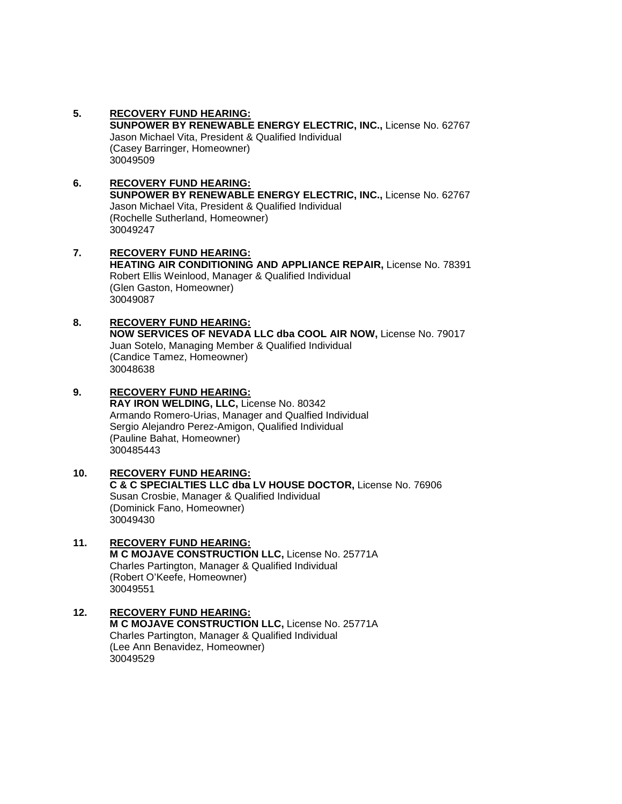- **5. RECOVERY FUND HEARING: SUNPOWER BY RENEWABLE ENERGY ELECTRIC, INC.,** License No. 62767 Jason Michael Vita, President & Qualified Individual (Casey Barringer, Homeowner) 30049509
- **6. RECOVERY FUND HEARING: SUNPOWER BY RENEWABLE ENERGY ELECTRIC, INC.,** License No. 62767 Jason Michael Vita, President & Qualified Individual (Rochelle Sutherland, Homeowner) 30049247 **7. RECOVERY FUND HEARING:**
- **HEATING AIR CONDITIONING AND APPLIANCE REPAIR,** License No. 78391 Robert Ellis Weinlood, Manager & Qualified Individual (Glen Gaston, Homeowner) 30049087
- **8. RECOVERY FUND HEARING: NOW SERVICES OF NEVADA LLC dba COOL AIR NOW,** License No. 79017 Juan Sotelo, Managing Member & Qualified Individual (Candice Tamez, Homeowner) 30048638
- **9. RECOVERY FUND HEARING: RAY IRON WELDING, LLC,** License No. 80342 Armando Romero-Urias, Manager and Qualfied Individual

Sergio Alejandro Perez-Amigon, Qualified Individual (Pauline Bahat, Homeowner) 300485443

**10. RECOVERY FUND HEARING: C & C SPECIALTIES LLC dba LV HOUSE DOCTOR,** License No. 76906 Susan Crosbie, Manager & Qualified Individual (Dominick Fano, Homeowner) 30049430

#### **11. RECOVERY FUND HEARING: M C MOJAVE CONSTRUCTION LLC,** License No. 25771A Charles Partington, Manager & Qualified Individual (Robert O'Keefe, Homeowner) 30049551

**12. RECOVERY FUND HEARING: M C MOJAVE CONSTRUCTION LLC,** License No. 25771A Charles Partington, Manager & Qualified Individual (Lee Ann Benavidez, Homeowner) 30049529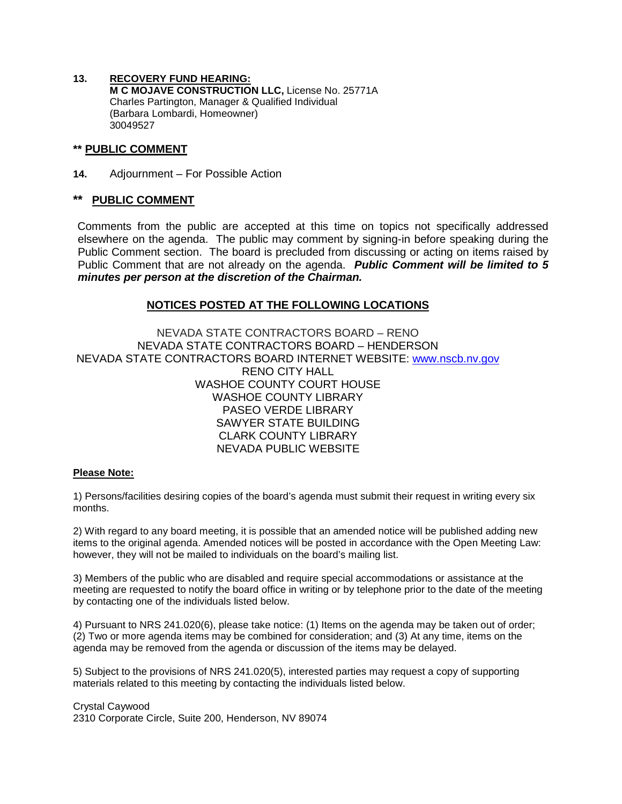**13. RECOVERY FUND HEARING: M C MOJAVE CONSTRUCTION LLC,** License No. 25771A Charles Partington, Manager & Qualified Individual (Barbara Lombardi, Homeowner) 30049527

#### **\*\* PUBLIC COMMENT**

**14.** Adjournment – For Possible Action

#### **PUBLIC COMMENT**

Comments from the public are accepted at this time on topics not specifically addressed elsewhere on the agenda. The public may comment by signing-in before speaking during the Public Comment section. The board is precluded from discussing or acting on items raised by Public Comment that are not already on the agenda. *Public Comment will be limited to 5 minutes per person at the discretion of the Chairman.*

#### **NOTICES POSTED AT THE FOLLOWING LOCATIONS**

NEVADA STATE CONTRACTORS BOARD – RENO NEVADA STATE CONTRACTORS BOARD – HENDERSON NEVADA STATE CONTRACTORS BOARD INTERNET WEBSITE: [www.nscb.nv.gov](http://www.nscb.nv.gov/) RENO CITY HALL WASHOE COUNTY COURT HOUSE WASHOE COUNTY LIBRARY PASEO VERDE LIBRARY SAWYER STATE BUILDING CLARK COUNTY LIBRARY NEVADA PUBLIC WEBSITE

#### **Please Note:**

1) Persons/facilities desiring copies of the board's agenda must submit their request in writing every six months.

2) With regard to any board meeting, it is possible that an amended notice will be published adding new items to the original agenda. Amended notices will be posted in accordance with the Open Meeting Law: however, they will not be mailed to individuals on the board's mailing list.

3) Members of the public who are disabled and require special accommodations or assistance at the meeting are requested to notify the board office in writing or by telephone prior to the date of the meeting by contacting one of the individuals listed below.

4) Pursuant to NRS 241.020(6), please take notice: (1) Items on the agenda may be taken out of order; (2) Two or more agenda items may be combined for consideration; and (3) At any time, items on the agenda may be removed from the agenda or discussion of the items may be delayed.

5) Subject to the provisions of NRS 241.020(5), interested parties may request a copy of supporting materials related to this meeting by contacting the individuals listed below.

Crystal Caywood 2310 Corporate Circle, Suite 200, Henderson, NV 89074